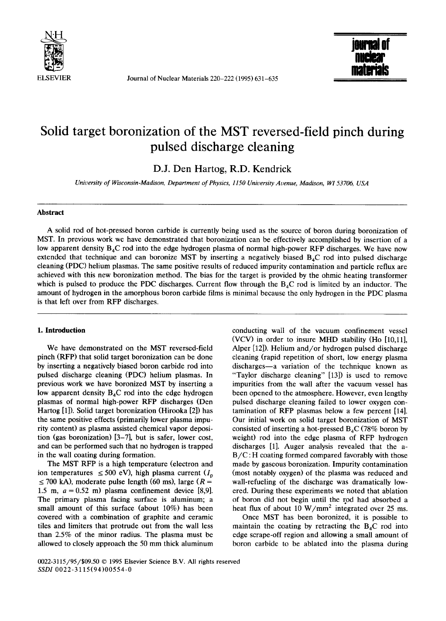

ELSEVIER Journal of Nuclear Materials 220-222 (1995) 631-635



# **Solid target boronization of the MST reversed-field pinch during pulsed discharge cleaning**

**D.J.** Den Hartog, R.D. Kendrick

*University of Wisconsin-Madison, Department of Physics, 1150 University Avenue, Madison, W153706, USA* 

# **Abstract**

A solid rod of hot-pressed boron carbide is currently being used as the source of boron during boronization of MST. In previous work we have demonstrated that boronization can be effectively accomplished by insertion of a low apparent density  $B_4C$  rod into the edge hydrogen plasma of normal high-power RFP discharges. We have now extended that technique and can boronize MST by inserting a negatively biased  $B_4C$  rod into pulsed discharge cleaning (PDC) helium plasmas. The same positive results of reduced impurity contamination and particle reflux are achieved with this new boronization method. The bias for the target is provided by the ohmic heating transformer which is pulsed to produce the PDC discharges. Current flow through the  $B_4C$  rod is limited by an inductor. The amount of hydrogen in the amorphous boron carbide films is minimal because the only hydrogen in the PDC plasma is that left over from RFP discharges.

# **1. Introduction**

We have demonstrated on the MST reversed-field pinch (RFP) that solid target boronization can be done by inserting a negatively biased boron carbide rod into pulsed discharge cleaning (PDC) helium plasmas. In previous work we have boronized MST by inserting a low apparent density  $B_4C$  rod into the edge hydrogen plasmas of normal high-power RFP discharges (Den Hartog [1]). Solid target boronization (Hirooka [2]) has the same positive effects (primarily lower plasma impurity content) as plasma assisted chemical vapor deposition (gas boronization) [3-7], but is safer, lower cost, and can be performed such that no hydrogen is trapped in the wall coating during formation.

The MST RFP is a high temperature (electron and ion temperatures  $\leq 500$  eV), high plasma current  $(I_p$  $\leq$  700 kA), moderate pulse length (60 ms), large ( $R =$ 1.5 m,  $a = 0.52$  m) plasma confinement device [8,9]. The primary plasma facing surface is aluminum; a small amount of this surface (about 10%) has been covered with a combination of graphite and ceramic tiles and limiters that protrude out from the wall less than 2.5% of the minor radius. The plasma must be allowed to closely approach the 50 mm thick aluminum conducting wall of the vacuum confinement vessel (VCV) in order to insure MHD stability (Ho [10,11], Alper [12]). Helium and/or hydrogen pulsed discharge cleaning (rapid repetition of short, low energy plasma discharges-a variation of the technique known as "Taylor discharge cleaning" [13]) is used to remove impurities from the wall after the vacuum vessel has been opened to the atmosphere. However, even lengthy pulsed discharge cleaning failed to lower oxygen contamination of RFP plasmas below a few percent [14]. Our initial work on solid target boronization of MST consisted of inserting a hot-pressed  $B_4C$  (78% boron by weight) rod into the edge plasma of RFP hydrogen discharges [1]. Auger analysis revealed that the a- $B/C$ : H coating formed compared favorably with those made by gaseous boronization. Impurity contamination (most notably oxygen) of the plasma was reduced and wall-refueling of the discharge was dramatically lowered. During these experiments we noted that ablation of boron did not begin until the rod had absorbed a heat flux of about 10 W/mm<sup>2</sup> integrated over 25 ms.

Once MST has been boronized, it is possible to maintain the coating by retracting the  $B_4C$  rod into edge scrape-off region and allowing a small amount of boron carbide to be ablated into the plasma during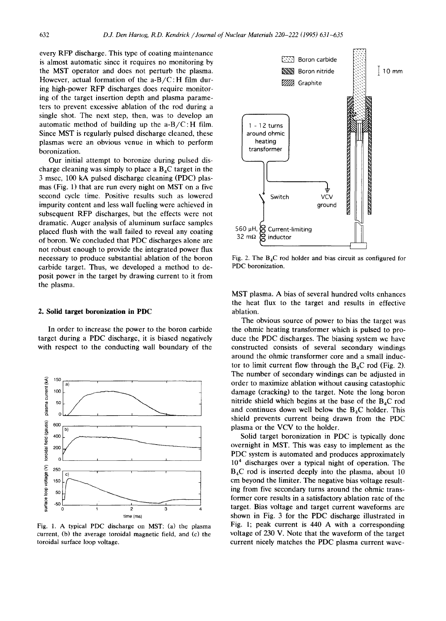every RFP discharge. This type of coating maintenance is almost automatic since it requires no monitoring by the MST operator and does not perturb the plasma. However, actual formation of the  $a-B/C$ : H film during high-power RFP discharges does require monitoring of the target insertion depth and plasma parameters to prevent excessive ablation of the rod during a single shot. The next step, then, was to develop an automatic method of building up the  $a-B/C$ : H film. Since MST is regularly pulsed discharge cleaned, these plasmas were an obvious venue in which to perform boronization.

Our initial attempt to boronize during pulsed discharge cleaning was simply to place a  $B<sub>4</sub>C$  target in the 3 msec, 100 kA pulsed discharge cleaning (PDC) plasmas (Fig. 1) that are run every night on MST on a five second cycle time. Positive results such as lowered impurity content and less wall fueling were achieved in subsequent RFP discharges, but the effects were not dramatic. Auger analysis of aluminum surface samples placed flush with the wall failed to reveal any coating of boron. We concluded that PDC discharges alone are not robust enough to provide the integrated power flux necessary to produce substantial ablation of the boron carbide target. Thus, we developed a method to deposit power in the target by drawing current to it from the plasma.

#### **2. Solid target boronization in PDC**

In order to increase the power to the boron carbide target during a PDC discharge, it is biased negatively with respect to the conducting wall boundary of the



Fig. 1. A typical PDC discharge on MST: (a) the plasma current, (b) the average toroidal magnetic field, and (c) the toroidal surface loop voltage.



Fig. 2. The  $B_4C$  rod holder and bias circuit as configured for PDC boronization.

MST plasma. A bias of several hundred volts enhances the heat flux to the target and results in effective ablation.

The obvious source of power to bias the target was the ohmic heating transformer which is pulsed to produce the PDC discharges. The biasing system we have constructed consists of several secondary windings around the ohmic transformer core and a small inductor to limit current flow through the  $B_4C$  rod (Fig. 2). The number of secondary windings can be adjusted in order to maximize ablation without causing catastophic damage (cracking) to the target. Note the long boron nitride shield which begins at the base of the  $B_4C$  rod and continues down well below the  $B_4C$  holder. This shield prevents current being drawn from the PDC plasma or the VCV to the holder.

Solid target boronization in PDC is typically done overnight in MST. This was easy to implement as the PDC system is automated and produces approximately  $10<sup>4</sup>$  discharges over a typical night of operation. The  $B_4C$  rod is inserted deeply into the plasma, about 10 cm beyond the limiter. The negative bias voltage resulting from five secondary turns around the ohmic transformer core results in a satisfactory ablation rate of the target. Bias voltage and target current waveforms are shown in Fig. 3 for the PDC discharge illustrated in Fig. 1; peak current is 440 A with a corresponding voltage of 230 V. Note that the waveform of the target current nicely matches the PDC plasma current wave-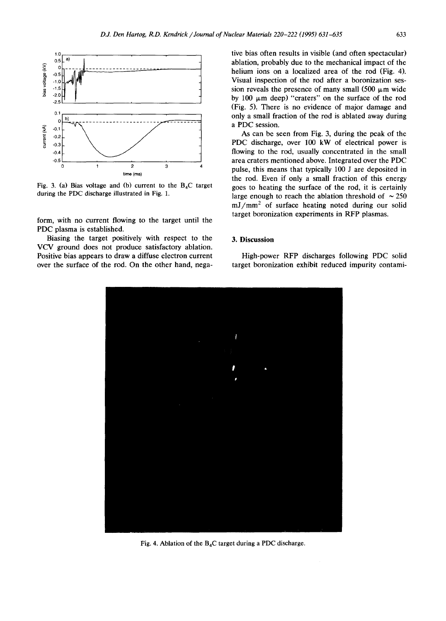

Fig. 3. (a) Bias voltage and (b) current to the  $B_4C$  target during the PDC discharge illustrated in Fig. 1.

form, with no current flowing to the target until the PDC plasma is established.

Biasing the target positively with respect to the VCV ground does not produce satisfactory ablation. Positive bias appears to draw a diffuse electron current over the surface of the rod. On the other hand, negative bias often results in visible (and often spectacular) ablation, probably due to the mechanical impact of the helium ions on a localized area of the rod (Fig. 4). Visual inspection of the rod after a boronization session reveals the presence of many small (500  $\mu$ m wide by 100  $\mu$ m deep) "craters" on the surface of the rod (Fig. 5). There is no evidence of major damage and only a small fraction of the rod is ablated away during a PDC session.

As can be seen from Fig. 3, during the peak of the PDC discharge, over 100 kW of electrical power is flowing to the rod, usually concentrated in the small area craters mentioned above. Integrated over the PDC pulse, this means that typically 100 J are deposited in the rod. Even if only a small fraction of this energy goes to heating the surface of the rod, it is certainly large enough to reach the ablation threshold of  $\sim 250$  $mJ/mm<sup>2</sup>$  of surface heating noted during our solid target boronization experiments in RFP plasmas.

## **3. Discussion**

High-power RFP discharges following PDC solid target boronization exhibit reduced impurity contami-



Fig. 4. Ablation of the  $B_4C$  target during a PDC discharge.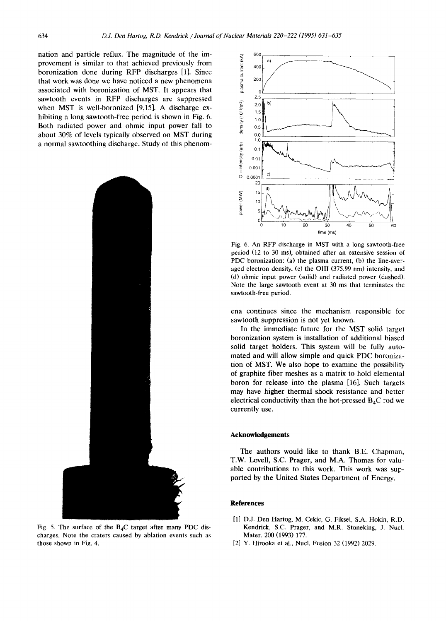nation and particle reflux. The magnitude of the improvement is similar to that achieved previously from boronization done during RFP discharges [1]. Since that work was done we have noticed a new phenomena associated with boronization of MST. It appears that sawtooth events in RFP discharges are suppressed when MST is well-boronized [9,15]. A discharge exhibiting a long sawtooth-free period is shown in Fig. 6. Both radiated power and ohmic input power fall to about 30% of levels typically observed on MST during a normal sawtoothing discharge. Study of this phenom-







Fig. 6. An RFP discharge in MST with a long sawtooth-free period (12 to 30 ms), obtained after an extensive session of PDC boronization: (a) the plasma current, (b) the line-averaged electron density, (c) the OIII (375.99 nm) intensity, and (d) ohmic input power (solid) and radiated power (dashed). Note the large sawtooth event at 30 ms that terminates the sawtooth-free period.

ena continues since the mechanism responsible for sawtooth suppression is not yet known.

In the immediate future for the MST solid target boronization system is installation of additional biased solid target holders. This system will be fully automated and will allow simple and quick PDC boronization of MST. We also hope to examine the possibility of graphite fiber meshes as a matrix to hold elemental boron for release into the plasma [16]. Such targets may have higher thermal shock resistance and better electrical conductivity than the hot-pressed  $B_4C$  rod we currently use.

## **Acknowledgements**

The authors would like to thank B.E. Chapman, T.W. Lovell, S.C. Prager, and M.A. Thomas for valuable contributions to this work. This work was supported by the United States Department of Energy.

## **References**

- [1] D.J. Den Hartog, M. Cekic, G. Fiksel, S.A. Hokin, R.D. Kendrick, S.C. Prager, and M.R. Stoneking, J. Nucl. Mater. 200 (1993) 177.
- [2] Y. Hirooka et al., Nucl. Fusion 32 (1992) 2029.